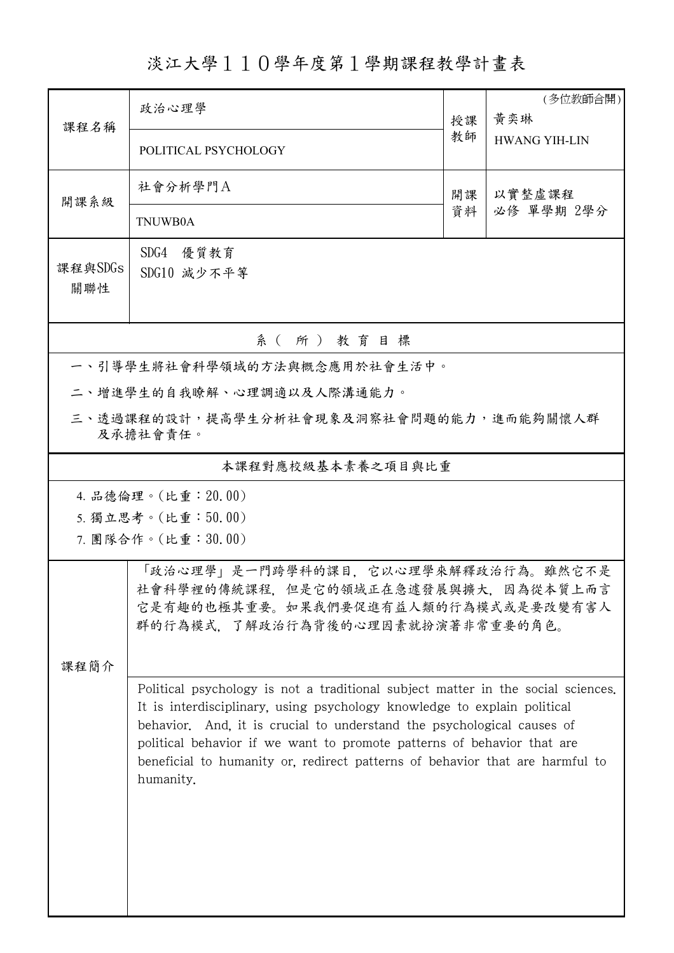## 淡江大學110學年度第1學期課程教學計畫表

| 課程名稱                                                | 政治心理學                                                                                                                                                                                                                                                                                                                                                                                                         | 授課 | (多位教師合開)<br>黃奕琳<br><b>HWANG YIH-LIN</b> |  |  |  |  |  |  |
|-----------------------------------------------------|---------------------------------------------------------------------------------------------------------------------------------------------------------------------------------------------------------------------------------------------------------------------------------------------------------------------------------------------------------------------------------------------------------------|----|-----------------------------------------|--|--|--|--|--|--|
|                                                     | POLITICAL PSYCHOLOGY                                                                                                                                                                                                                                                                                                                                                                                          | 教師 |                                         |  |  |  |  |  |  |
| 開課系級                                                | 社會分析學門A                                                                                                                                                                                                                                                                                                                                                                                                       | 開課 | 以實整虛課程                                  |  |  |  |  |  |  |
|                                                     | TNUWB0A                                                                                                                                                                                                                                                                                                                                                                                                       | 資料 | 必修 單學期 2學分                              |  |  |  |  |  |  |
| 課程與SDGs<br>關聯性                                      | SDG4 優質教育<br>SDG10 減少不平等                                                                                                                                                                                                                                                                                                                                                                                      |    |                                         |  |  |  |  |  |  |
| 系(所)教育目標                                            |                                                                                                                                                                                                                                                                                                                                                                                                               |    |                                         |  |  |  |  |  |  |
|                                                     | 一、引導學生將社會科學領域的方法與概念應用於社會生活中。                                                                                                                                                                                                                                                                                                                                                                                  |    |                                         |  |  |  |  |  |  |
| 二、增進學生的自我瞭解、心理調適以及人際溝通能力。                           |                                                                                                                                                                                                                                                                                                                                                                                                               |    |                                         |  |  |  |  |  |  |
| 三、透過課程的設計,提高學生分析社會現象及洞察社會問題的能力,進而能夠關懷人群<br>及承擔社會責任。 |                                                                                                                                                                                                                                                                                                                                                                                                               |    |                                         |  |  |  |  |  |  |
| 本課程對應校級基本素養之項目與比重                                   |                                                                                                                                                                                                                                                                                                                                                                                                               |    |                                         |  |  |  |  |  |  |
| 4. 品德倫理。(比重: 20.00)                                 |                                                                                                                                                                                                                                                                                                                                                                                                               |    |                                         |  |  |  |  |  |  |
| 5. 獨立思考。(比重:50.00)                                  |                                                                                                                                                                                                                                                                                                                                                                                                               |    |                                         |  |  |  |  |  |  |
|                                                     | 7. 團隊合作。(比重:30.00)                                                                                                                                                                                                                                                                                                                                                                                            |    |                                         |  |  |  |  |  |  |
|                                                     | 「政治心理學」是一門跨學科的課目,它以心理學來解釋政治行為。雖然它不是<br>社會科學裡的傳統課程,但是它的領域正在急遽發展與擴大,因為從本質上而言<br>它是有趣的也極其重要。如果我們要促進有益人類的行為模式或是要改變有害人<br>群的行為模式,了解政治行為背後的心理因素就扮演著非常重要的角色。                                                                                                                                                                                                                                                         |    |                                         |  |  |  |  |  |  |
| 课程简介                                                |                                                                                                                                                                                                                                                                                                                                                                                                               |    |                                         |  |  |  |  |  |  |
|                                                     | Political psychology is not a traditional subject matter in the social sciences.<br>It is interdisciplinary, using psychology knowledge to explain political<br>behavior. And, it is crucial to understand the psychological causes of<br>political behavior if we want to promote patterns of behavior that are<br>beneficial to humanity or, redirect patterns of behavior that are harmful to<br>humanity. |    |                                         |  |  |  |  |  |  |
|                                                     |                                                                                                                                                                                                                                                                                                                                                                                                               |    |                                         |  |  |  |  |  |  |
|                                                     |                                                                                                                                                                                                                                                                                                                                                                                                               |    |                                         |  |  |  |  |  |  |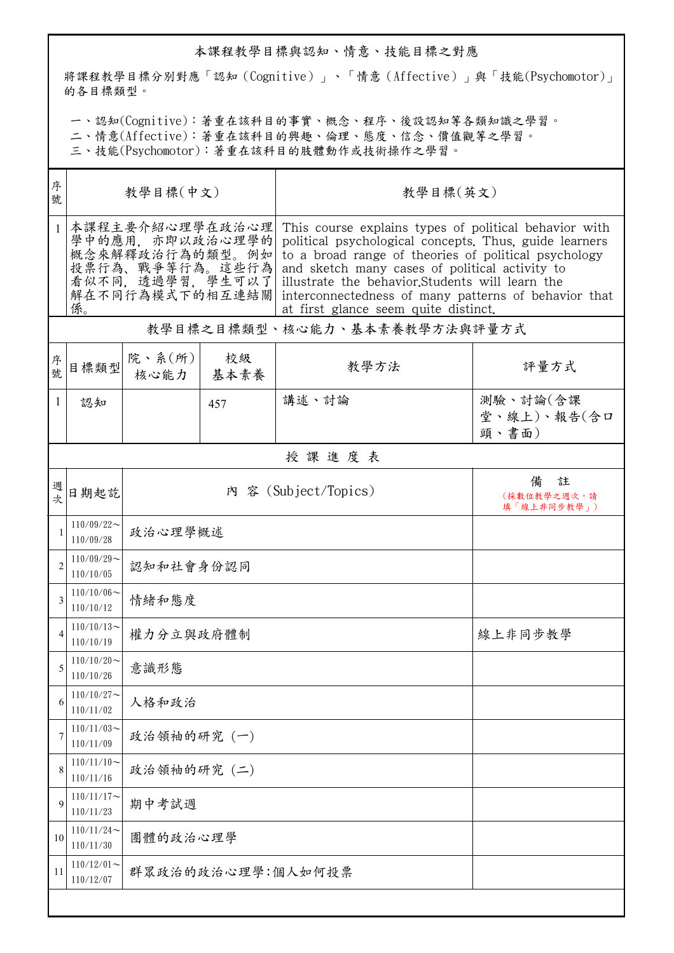## 本課程教學目標與認知、情意、技能目標之對應

將課程教學目標分別對應「認知(Cognitive)」、「情意(Affective)」與「技能(Psychomotor)」 的各目標類型。

一、認知(Cognitive):著重在該科目的事實、概念、程序、後設認知等各類知識之學習。

二、情意(Affective):著重在該科目的興趣、倫理、態度、信念、價值觀等之學習。

三、技能(Psychomotor):著重在該科目的肢體動作或技術操作之學習。

| 序<br>號 | 教學目標(中文)                                                                                                              |                          |            | 教學目標(英文)                                                                                                                                                                                                                                                                                                                                                                      |                                      |  |  |  |
|--------|-----------------------------------------------------------------------------------------------------------------------|--------------------------|------------|-------------------------------------------------------------------------------------------------------------------------------------------------------------------------------------------------------------------------------------------------------------------------------------------------------------------------------------------------------------------------------|--------------------------------------|--|--|--|
|        | 本課程主要介紹心理學在政治心理<br>學中的應用, 亦即以政治心理學的<br>概念來解釋政治行為的類型。例如<br>投票行為、戰爭等行為。這些行為<br>看似不同,透過學習,學生可以了<br>解在不同行為模式下的相互連結關<br>係。 |                          |            | This course explains types of political behavior with<br>political psychological concepts. Thus, guide learners<br>to a broad range of theories of political psychology<br>and sketch many cases of political activity to<br>illustrate the behavior. Students will learn the<br>interconnectedness of many patterns of behavior that<br>at first glance seem quite distinct. |                                      |  |  |  |
|        | 教學目標之目標類型、核心能力、基本素養教學方法與評量方式                                                                                          |                          |            |                                                                                                                                                                                                                                                                                                                                                                               |                                      |  |  |  |
| 序號     | 目標類型                                                                                                                  | 院、系 $(\text{m})$<br>核心能力 | 校級<br>基本素養 | 教學方法                                                                                                                                                                                                                                                                                                                                                                          | 評量方式                                 |  |  |  |
| 1      | 認知                                                                                                                    |                          | 457        | 講述、討論                                                                                                                                                                                                                                                                                                                                                                         | 測驗、討論(含課<br>堂、線上)、報告(含口<br>頭、書面)     |  |  |  |
|        | 授課進度表                                                                                                                 |                          |            |                                                                                                                                                                                                                                                                                                                                                                               |                                      |  |  |  |
| 週次     | 日期起訖                                                                                                                  | 內 容 (Subject/Topics)     |            |                                                                                                                                                                                                                                                                                                                                                                               | 註<br>備<br>(採數位教學之週次,請<br>填「線上非同步教學」) |  |  |  |
|        | $110/09/22$ ~<br>110/09/28                                                                                            | 政治心理學概述                  |            |                                                                                                                                                                                                                                                                                                                                                                               |                                      |  |  |  |
|        | $110/09/29$ ~<br>110/10/05                                                                                            | 認知和社會身份認同                |            |                                                                                                                                                                                                                                                                                                                                                                               |                                      |  |  |  |
| 3      | $110/10/06 \sim$<br>110/10/12                                                                                         | 情緒和態度                    |            |                                                                                                                                                                                                                                                                                                                                                                               |                                      |  |  |  |
| 4      | $110/10/13$ ~<br>110/10/19                                                                                            | 權力分立與政府體制                |            |                                                                                                                                                                                                                                                                                                                                                                               | 線上非同步教學                              |  |  |  |
| 5      | $110/10/20$ ~<br>110/10/26                                                                                            | 意識形態                     |            |                                                                                                                                                                                                                                                                                                                                                                               |                                      |  |  |  |
| 6      | $110/10/27$ ~<br>110/11/02                                                                                            | 人格和政治                    |            |                                                                                                                                                                                                                                                                                                                                                                               |                                      |  |  |  |
| 7      | $110/11/03$ ~<br>110/11/09                                                                                            | 政治領袖的研究 (一)              |            |                                                                                                                                                                                                                                                                                                                                                                               |                                      |  |  |  |
| 8      | $110/11/10$ ~<br>110/11/16                                                                                            | 政治領袖的研究(二)               |            |                                                                                                                                                                                                                                                                                                                                                                               |                                      |  |  |  |
| 9      | $110/11/17$ ~<br>110/11/23                                                                                            | 期中考試週                    |            |                                                                                                                                                                                                                                                                                                                                                                               |                                      |  |  |  |
| 10     | 110/11/24<br>110/11/30                                                                                                | 團體的政治心理學                 |            |                                                                                                                                                                                                                                                                                                                                                                               |                                      |  |  |  |
| 11     | $110/12/01$ ~<br>110/12/07                                                                                            | 群眾政治的政治心理學:個人如何投票        |            |                                                                                                                                                                                                                                                                                                                                                                               |                                      |  |  |  |
|        |                                                                                                                       |                          |            |                                                                                                                                                                                                                                                                                                                                                                               |                                      |  |  |  |